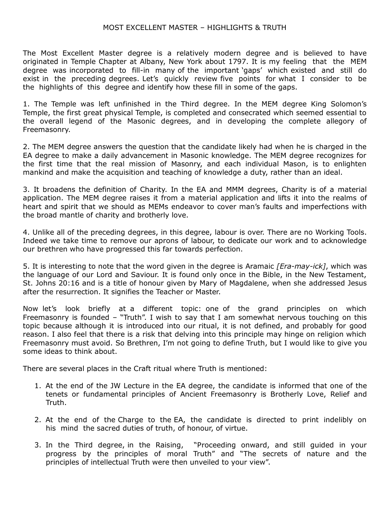## MOST EXCELLENT MASTER – HIGHLIGHTS & TRUTH

The Most Excellent Master degree is a relatively modern degree and is believed to have originated in Temple Chapter at Albany, New York about 1797. It is my feeling that the MEM degree was incorporated to fill-in many of the important 'gaps' which existed and still do exist in the preceding degrees. Let's quickly review five points for what I consider to be the highlights of this degree and identify how these fill in some of the gaps.

1. The Temple was left unfinished in the Third degree. In the MEM degree King Solomon's Temple, the first great physical Temple, is completed and consecrated which seemed essential to the overall legend of the Masonic degrees, and in developing the complete allegory of Freemasonry.

2. The MEM degree answers the question that the candidate likely had when he is charged in the EA degree to make a daily advancement in Masonic knowledge. The MEM degree recognizes for the first time that the real mission of Masonry, and each individual Mason, is to enlighten mankind and make the acquisition and teaching of knowledge a duty, rather than an ideal.

3. It broadens the definition of Charity. In the EA and MMM degrees, Charity is of a material application. The MEM degree raises it from a material application and lifts it into the realms of heart and spirit that we should as MEMs endeavor to cover man's faults and imperfections with the broad mantle of charity and brotherly love.

4. Unlike all of the preceding degrees, in this degree, labour is over. There are no Working Tools. Indeed we take time to remove our aprons of labour, to dedicate our work and to acknowledge our brethren who have progressed this far towards perfection.

5. It is interesting to note that the word given in the degree is Aramaic *[Era-may-ick]*, which was the language of our Lord and Saviour. It is found only once in the Bible, in the New Testament, St. Johns 20:16 and is a title of honour given by Mary of Magdalene, when she addressed Jesus after the resurrection. It signifies the Teacher or Master.

Now let's look briefly at a different topic: one of the grand principles on which Freemasonry is founded – "Truth". I wish to say that I am somewhat nervous touching on this topic because although it is introduced into our ritual, it is not defined, and probably for good reason. I also feel that there is a risk that delving into this principle may hinge on religion which Freemasonry must avoid. So Brethren, I'm not going to define Truth, but I would like to give you some ideas to think about.

There are several places in the Craft ritual where Truth is mentioned:

- 1. At the end of the JW Lecture in the EA degree, the candidate is informed that one of the tenets or fundamental principles of Ancient Freemasonry is Brotherly Love, Relief and Truth.
- 2. At the end of the Charge to the EA, the candidate is directed to print indelibly on his mind the sacred duties of truth, of honour, of virtue.
- 3. In the Third degree, in the Raising, "Proceeding onward, and still guided in your progress by the principles of moral Truth" and "The secrets of nature and the principles of intellectual Truth were then unveiled to your view".